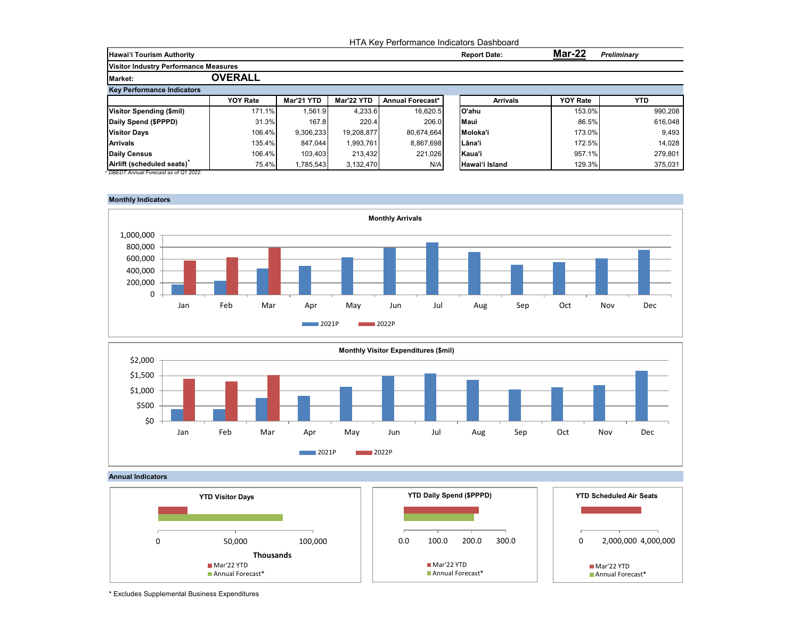|                                              |                 | HTA Key Performance Indicators Dashboard |            |                  |  |                     |                 |                    |  |  |  |
|----------------------------------------------|-----------------|------------------------------------------|------------|------------------|--|---------------------|-----------------|--------------------|--|--|--|
| Hawai'i Tourism Authority                    |                 |                                          |            |                  |  | <b>Report Date:</b> | <b>Mar-22</b>   | <b>Preliminary</b> |  |  |  |
| <b>Visitor Industry Performance Measures</b> |                 |                                          |            |                  |  |                     |                 |                    |  |  |  |
| <b>Market:</b>                               | <b>OVERALL</b>  |                                          |            |                  |  |                     |                 |                    |  |  |  |
| <b>Key Performance Indicators</b>            |                 |                                          |            |                  |  |                     |                 |                    |  |  |  |
|                                              | <b>YOY Rate</b> | Mar'21 YTD                               | Mar'22 YTD | Annual Forecast* |  | <b>Arrivals</b>     | <b>YOY Rate</b> | <b>YTD</b>         |  |  |  |
| Visitor Spending (\$mil)                     | 171.1%          | 1.561.9                                  | 4.233.6    | 16,620.5         |  | O'ahu               | 153.0%          | 990,208            |  |  |  |
| Daily Spend (\$PPPD)                         | 31.3%           | 167.8                                    | 220.4      | 206.0            |  | <b>Maui</b>         | 86.5%           | 616,048            |  |  |  |
| <b>Visitor Days</b>                          | 106.4%          | 9.306.233                                | 19.208.877 | 80,674,664       |  | Moloka'i            | 173.0%          | 9,493              |  |  |  |
| <b>Arrivals</b>                              | 135.4%          | 847,044                                  | 1,993,761  | 8,867,698        |  | l Lāna'i            | 172.5%          | 14,028             |  |  |  |
| Daily Census                                 | 106.4%          | 103,403                                  | 213.432    | 221,026          |  | Kaua'i              | 957.1%          | 279,801            |  |  |  |
| Airlift (scheduled seats)                    | 75.4%           | 1,785,543                                | 3.132.470  | N/A              |  | Hawai'i Island      | 129.3%          | 375,031            |  |  |  |







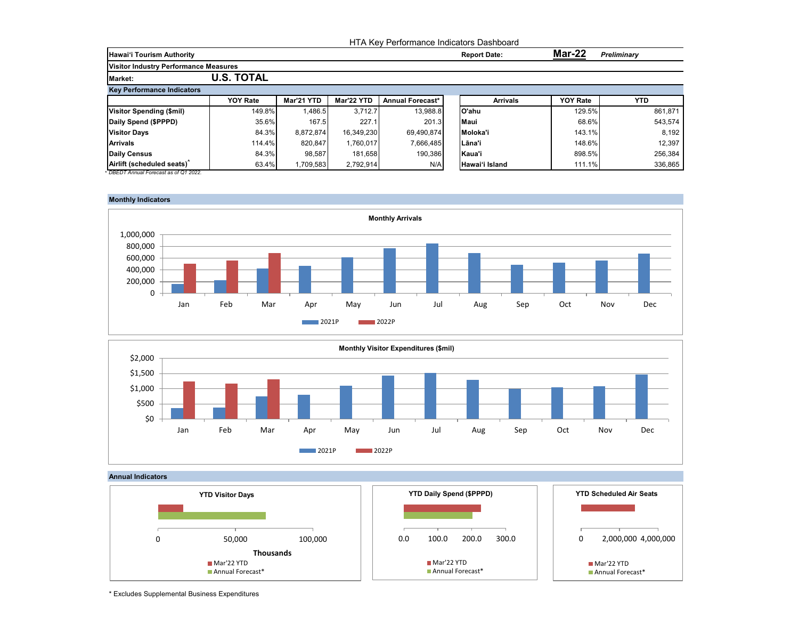|                                              |                   |            |            | HTA Key Performance Indicators Dashboard |                     |                 |             |
|----------------------------------------------|-------------------|------------|------------|------------------------------------------|---------------------|-----------------|-------------|
| Hawai'i Tourism Authority                    |                   |            |            |                                          | <b>Report Date:</b> | <b>Mar-22</b>   | Preliminary |
| <b>Visitor Industry Performance Measures</b> |                   |            |            |                                          |                     |                 |             |
| <b>Market:</b>                               | <b>U.S. TOTAL</b> |            |            |                                          |                     |                 |             |
| <b>Key Performance Indicators</b>            |                   |            |            |                                          |                     |                 |             |
|                                              | <b>YOY Rate</b>   | Mar'21 YTD | Mar'22 YTD | Annual Forecast*                         | <b>Arrivals</b>     | <b>YOY Rate</b> | <b>YTD</b>  |
| Visitor Spending (\$mil)                     | 149.8%            | 1.486.5    | 3.712.7    | 13,988.8                                 | O'ahu               | 129.5%          | 861.871     |
| Daily Spend (\$PPPD)                         | 35.6%             | 167.5      | 227.1      | 201.3                                    | <b>Maui</b>         | 68.6%           | 543,574     |
| <b>Visitor Days</b>                          | 84.3%             | 8.872.874  | 16.349.230 | 69,490,874                               | Moloka'i            | 143.1%          | 8,192       |
| <b>Arrivals</b>                              | 114.4%            | 820.847    | 1.760.017  | 7,666,485                                | l Lāna'i            | 148.6%          | 12,397      |
| Daily Census                                 | 84.3%             | 98,587     | 181.658    | 190,386                                  | Kaua'i              | 898.5%          | 256,384     |
| Airlift (scheduled seats)                    | 63.4%             | 1,709,583  | 2.792.914  | N/A                                      | Hawai'i Island      | 111.1%          | 336,865     |







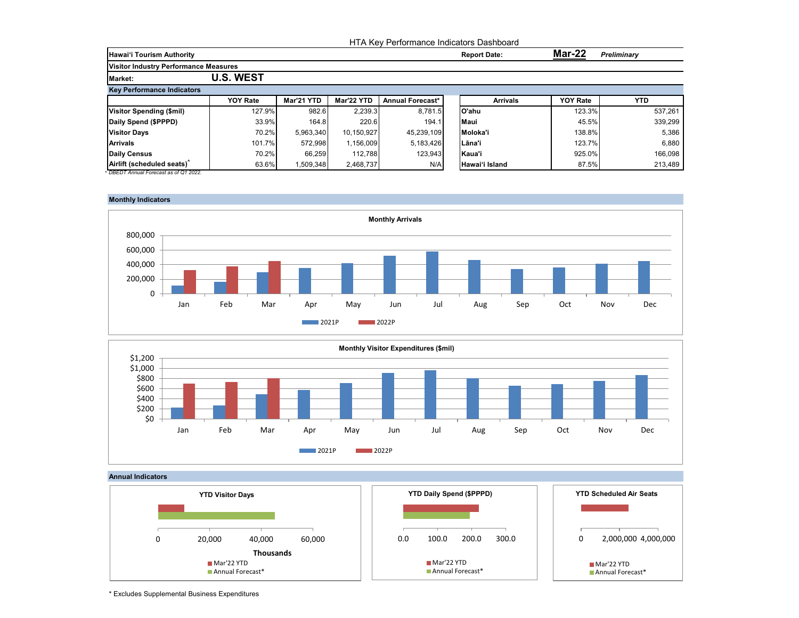|                                              |                  | HTA Key Performance Indicators Dashboard |            |                  |  |                     |                 |                    |  |  |
|----------------------------------------------|------------------|------------------------------------------|------------|------------------|--|---------------------|-----------------|--------------------|--|--|
| Hawai'i Tourism Authority                    |                  |                                          |            |                  |  | <b>Report Date:</b> | <b>Mar-22</b>   | <b>Preliminary</b> |  |  |
| <b>Visitor Industry Performance Measures</b> |                  |                                          |            |                  |  |                     |                 |                    |  |  |
| <b>Market:</b>                               | <b>U.S. WEST</b> |                                          |            |                  |  |                     |                 |                    |  |  |
| <b>Key Performance Indicators</b>            |                  |                                          |            |                  |  |                     |                 |                    |  |  |
|                                              | <b>YOY Rate</b>  | Mar'21 YTD                               | Mar'22 YTD | Annual Forecast* |  | <b>Arrivals</b>     | <b>YOY Rate</b> | <b>YTD</b>         |  |  |
| Visitor Spending (\$mil)                     | 127.9%           | 982.6                                    | 2,239.3    | 8.781.5          |  | lO'ahu              | 123.3%          | 537.261            |  |  |
| Daily Spend (\$PPPD)                         | 33.9%            | 164.8                                    | 220.6      | 194.1            |  | <b>Maui</b>         | 45.5%           | 339,299            |  |  |
| <b>Visitor Days</b>                          | 70.2%            | 5.963.340                                | 10.150.927 | 45,239,109       |  | Moloka'i            | 138.8%          | 5,386              |  |  |
| <b>Arrivals</b>                              | 101.7%           | 572,998                                  | 1,156,009  | 5,183,426        |  | l Lāna'i            | 123.7%          | 6,880              |  |  |
| Daily Census                                 | 70.2%            | 66,259                                   | 112.788    | 123,943          |  | Kaua'i              | 925.0%          | 166,098            |  |  |
| Airlift (scheduled seats)                    | 63.6%            | 1,509,348                                | 2.468.737  | N/A              |  | Hawai'i Island      | 87.5%           | 213,489            |  |  |







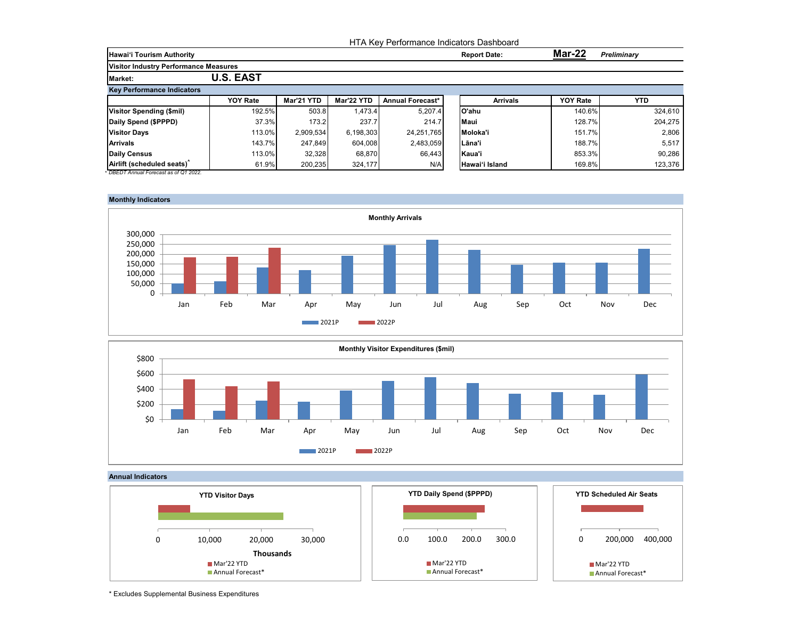|                                              |                  | HTA Key Performance Indicators Dashboard |            |                  |  |                     |                 |             |  |  |  |
|----------------------------------------------|------------------|------------------------------------------|------------|------------------|--|---------------------|-----------------|-------------|--|--|--|
| <b>Hawai'i Tourism Authority</b>             |                  |                                          |            |                  |  | <b>Report Date:</b> | <b>Mar-22</b>   | Preliminary |  |  |  |
| <b>Visitor Industry Performance Measures</b> |                  |                                          |            |                  |  |                     |                 |             |  |  |  |
| <b>Market:</b>                               | <b>U.S. EAST</b> |                                          |            |                  |  |                     |                 |             |  |  |  |
| <b>Key Performance Indicators</b>            |                  |                                          |            |                  |  |                     |                 |             |  |  |  |
|                                              | <b>YOY Rate</b>  | Mar'21 YTD                               | Mar'22 YTD | Annual Forecast* |  | <b>Arrivals</b>     | <b>YOY Rate</b> | YTD.        |  |  |  |
| <b>Visitor Spending (\$mil)</b>              | 192.5%           | 503.8                                    | 1,473.4    | 5,207.4          |  | lO'ahu              | 140.6%          | 324,610     |  |  |  |
| Daily Spend (\$PPPD)                         | 37.3%            | 173.2                                    | 237.7      | 214.7            |  | <b>Maui</b>         | 128.7%          | 204,275     |  |  |  |
| <b>Visitor Days</b>                          | 113.0%           | 2,909,534                                | 6.198.303  | 24,251,765       |  | Moloka'i            | 151.7%          | 2,806       |  |  |  |
| <b>Arrivals</b>                              | 143.7%           | 247.849                                  | 604.008    | 2,483,059        |  | Lāna'i              | 188.7%          | 5,517       |  |  |  |
| Daily Census                                 | 113.0%           | 32,328                                   | 68.870     | 66,443           |  | Kaua'i              | 853.3%          | 90,286      |  |  |  |
| Airlift (scheduled seats)                    | 61.9%            | 200,235                                  | 324,177    | N/A              |  | Hawai'i Island      | 169.8%          | 123,376     |  |  |  |







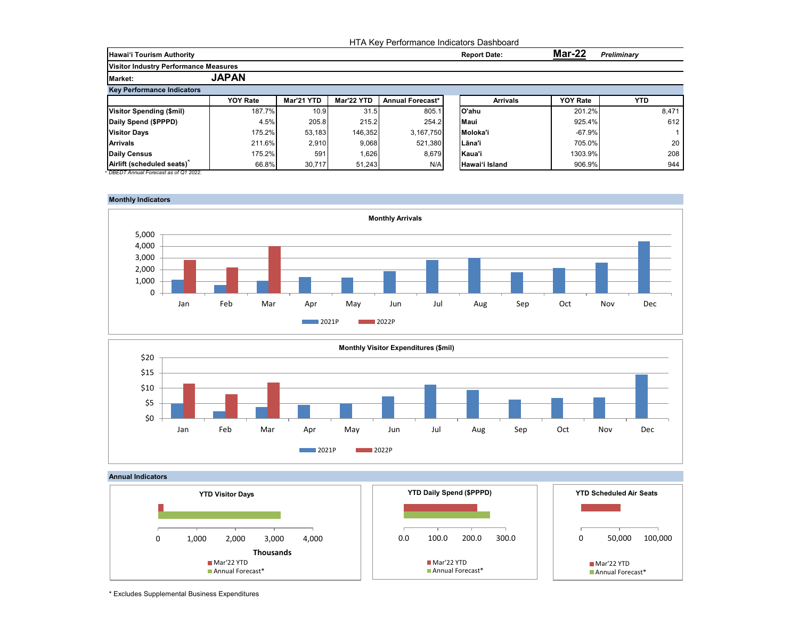|                                              |                 | HTA Key Performance Indicators Dashboard |            |                         |                     |                 |                 |                    |  |  |  |
|----------------------------------------------|-----------------|------------------------------------------|------------|-------------------------|---------------------|-----------------|-----------------|--------------------|--|--|--|
| <b>Hawai'i Tourism Authority</b>             |                 |                                          |            |                         | <b>Report Date:</b> |                 | Mar-22          | <b>Preliminary</b> |  |  |  |
| <b>Visitor Industry Performance Measures</b> |                 |                                          |            |                         |                     |                 |                 |                    |  |  |  |
| <b>Market:</b>                               | <b>JAPAN</b>    |                                          |            |                         |                     |                 |                 |                    |  |  |  |
| <b>Key Performance Indicators</b>            |                 |                                          |            |                         |                     |                 |                 |                    |  |  |  |
|                                              | <b>YOY Rate</b> | Mar'21 YTD                               | Mar'22 YTD | <b>Annual Forecast*</b> |                     | <b>Arrivals</b> | <b>YOY Rate</b> | <b>YTD</b>         |  |  |  |
| <b>Visitor Spending (\$mil)</b>              | 187.7%          | 10.9                                     | 31.5       | 805.1                   | lO'ahu              |                 | 201.2%          | 8,471              |  |  |  |
| Daily Spend (\$PPPD)                         | 4.5%            | 205.8                                    | 215.2      | 254.2                   | Maui                |                 | 925.4%          | 612                |  |  |  |
| <b>Visitor Days</b>                          | 175.2%          | 53,183                                   | 146.352    | 3.167.750               | Moloka'i            |                 | $-67.9%$        |                    |  |  |  |
| <b>Arrivals</b>                              | 211.6%          | 2,910                                    | 9.068      | 521.380                 | Lāna'i              |                 | 705.0%          | 20                 |  |  |  |
| <b>Daily Census</b>                          | 175.2%          | 591                                      | 1,626      | 8,679                   | Kaua'i              |                 | 1303.9%         | 208                |  |  |  |
| Airlift (scheduled seats)                    | 66.8%           | 30,717                                   | 51,243     | N/A                     | Hawai'i Island      |                 | 906.9%          | 944                |  |  |  |









<sup>\*</sup> Excludes Supplemental Business Expenditures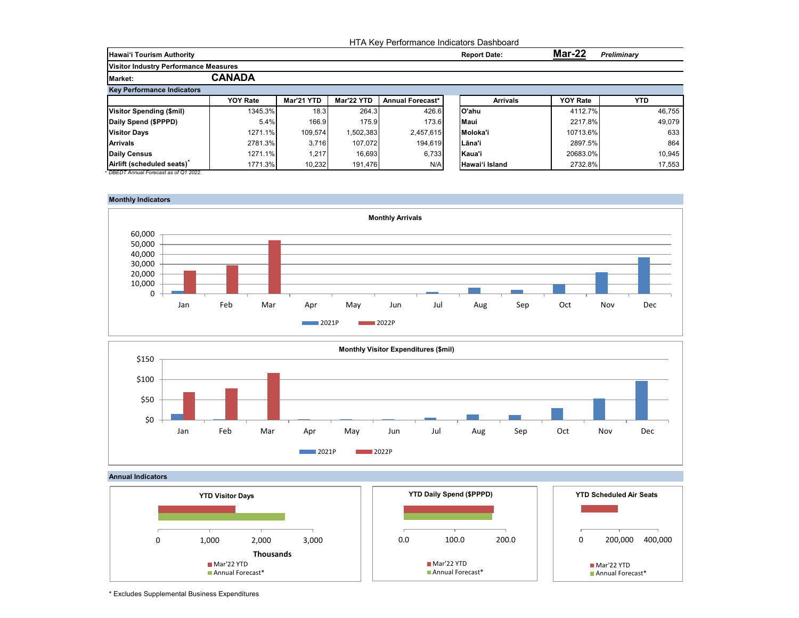|                                       |                 |            |            |                  | HTA Key Performance Indicators Dashboard |                 |                    |
|---------------------------------------|-----------------|------------|------------|------------------|------------------------------------------|-----------------|--------------------|
| <b>Hawai'i Tourism Authority</b>      |                 |            |            |                  | <b>Report Date:</b>                      | Mar-22          | <b>Preliminary</b> |
| Visitor Industry Performance Measures |                 |            |            |                  |                                          |                 |                    |
| <b>Market:</b>                        | <b>CANADA</b>   |            |            |                  |                                          |                 |                    |
| <b>Key Performance Indicators</b>     |                 |            |            |                  |                                          |                 |                    |
|                                       | <b>YOY Rate</b> | Mar'21 YTD | Mar'22 YTD | Annual Forecast* | <b>Arrivals</b>                          | <b>YOY Rate</b> | YTD.               |
| Visitor Spending (\$mil)              | 1345.3%         | 18.3       | 264.3      | 426.6            | lO'ahu                                   | 4112.7%         | 46.755             |
| Daily Spend (\$PPPD)                  | 5.4%            | 166.9      | 175.9      | 173.6            | <b>Maui</b>                              | 2217.8%         | 49,079             |
| <b>Visitor Days</b>                   | 1271.1%         | 109.574    | 1,502,383  | 2,457,615        | Moloka'i                                 | 10713.6%        | 633                |
| <b>Arrivals</b>                       | 2781.3%         | 3,716      | 107.072    | 194,619          | Lāna'i                                   | 2897.5%         | 864                |
| <b>Daily Census</b>                   | 1271.1%         | 1.217      | 16.693     | 6,733            | Kaua'i                                   | 20683.0%        | 10,945             |
| Airlift (scheduled seats)             | 1771.3%         | 10,232     | 191,476    | N/A              | Hawai'i Island                           | 2732.8%         | 17,553             |







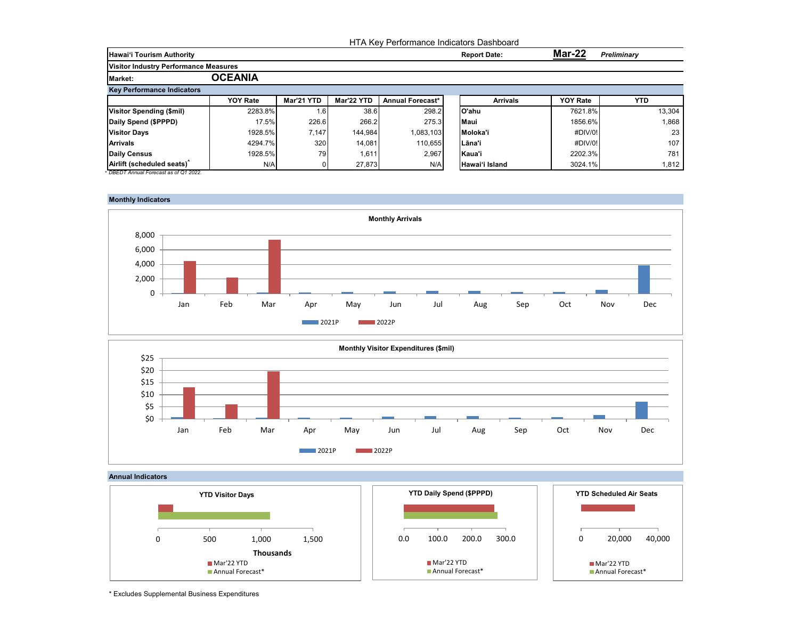|                                              |                 |            |            | HTA Key Performance Indicators Dashboard |                     |                 |                    |
|----------------------------------------------|-----------------|------------|------------|------------------------------------------|---------------------|-----------------|--------------------|
| <b>Hawai'i Tourism Authority</b>             |                 |            |            |                                          | <b>Report Date:</b> | Mar-22          | <b>Preliminary</b> |
| <b>Visitor Industry Performance Measures</b> |                 |            |            |                                          |                     |                 |                    |
| <b>Market:</b>                               | <b>OCEANIA</b>  |            |            |                                          |                     |                 |                    |
| <b>Key Performance Indicators</b>            |                 |            |            |                                          |                     |                 |                    |
|                                              | <b>YOY Rate</b> | Mar'21 YTD | Mar'22 YTD | Annual Forecast*                         | <b>Arrivals</b>     | <b>YOY Rate</b> | <b>YTD</b>         |
| Visitor Spending (\$mil)                     | 2283.8%         | 1.61       | 38.6       | 298.2                                    | lO'ahu              | 7621.8%         | 13,304             |
| Daily Spend (\$PPPD)                         | 17.5%           | 226.6      | 266.2      | 275.3                                    | <b>Maui</b>         | 1856.6%         | 1,868              |
| <b>Visitor Days</b>                          | 1928.5%         | 7.147      | 144.984    | 1,083,103                                | Moloka'i            | #DIV/0!         | 23                 |
| <b>Arrivals</b>                              | 4294.7%         | 320        | 14,081     | 110,655                                  | ILāna'i             | #DIV/0!         | 107                |
| <b>Daily Census</b>                          | 1928.5%         | 79         | 1,611      | 2,967                                    | Kaua'i              | 2202.3%         | 781                |
| Airlift (scheduled seats)                    | N/A             |            | 27.873     | N/A                                      | Hawai'i Island      | 3024.1%         | 1.812              |







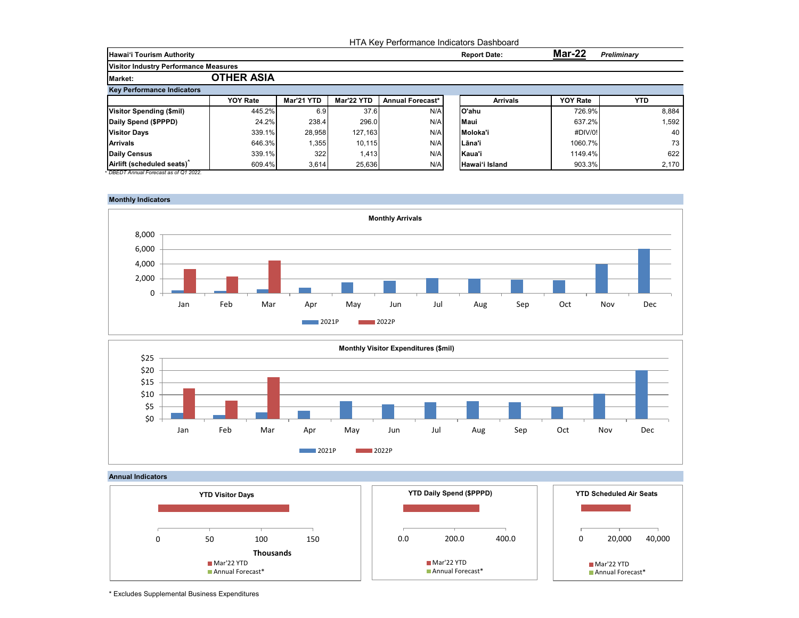|                                              |                   |            |            | HTA Key Performance Indicators Dashboard |                     |                 |                    |
|----------------------------------------------|-------------------|------------|------------|------------------------------------------|---------------------|-----------------|--------------------|
| <b>Hawai'i Tourism Authority</b>             |                   |            |            |                                          | <b>Report Date:</b> | Mar-22          | <b>Preliminary</b> |
| <b>Visitor Industry Performance Measures</b> |                   |            |            |                                          |                     |                 |                    |
| <b>Market:</b>                               | <b>OTHER ASIA</b> |            |            |                                          |                     |                 |                    |
| <b>Key Performance Indicators</b>            |                   |            |            |                                          |                     |                 |                    |
|                                              | <b>YOY Rate</b>   | Mar'21 YTD | Mar'22 YTD | Annual Forecast*                         | <b>Arrivals</b>     | <b>YOY Rate</b> | <b>YTD</b>         |
| Visitor Spending (\$mil)                     | 445.2%            | 6.9        | 37.6       | N/A                                      | lO'ahu              | 726.9%          | 8,884              |
| Daily Spend (\$PPPD)                         | 24.2%             | 238.4      | 296.0      | N/A                                      | <b>Maui</b>         | 637.2%          | 1,592              |
| <b>Visitor Days</b>                          | 339.1%            | 28,958     | 127,163    | N/A                                      | Moloka'i            | #DIV/0!         | 40                 |
| <b>Arrivals</b>                              | 646.3%            | 1,355      | 10, 115    | N/A                                      | ILāna'i             | 1060.7%         | 73                 |
| <b>Daily Census</b>                          | 339.1%            | 322        | 1,413      | N/A                                      | Kaua'i              | 1149.4%         | 622                |
| Airlift (scheduled seats)                    | 609.4%            | 3.614      | 25.636     | N/A                                      | Hawai'i Island      | 903.3%          | 2.170              |







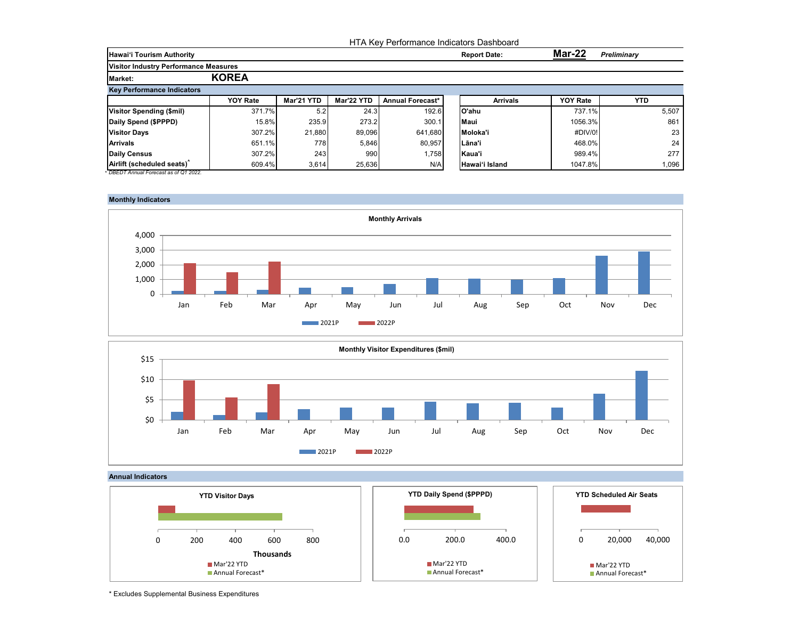|                                              |                 | HTA Key Performance Indicators Dashboard |            |                  |  |                     |                 |                    |  |  |
|----------------------------------------------|-----------------|------------------------------------------|------------|------------------|--|---------------------|-----------------|--------------------|--|--|
| <b>Hawai'i Tourism Authority</b>             |                 |                                          |            |                  |  | <b>Report Date:</b> | Mar-22          | <b>Preliminary</b> |  |  |
| <b>Visitor Industry Performance Measures</b> |                 |                                          |            |                  |  |                     |                 |                    |  |  |
| <b>Market:</b>                               | <b>KOREA</b>    |                                          |            |                  |  |                     |                 |                    |  |  |
| <b>Key Performance Indicators</b>            |                 |                                          |            |                  |  |                     |                 |                    |  |  |
|                                              | <b>YOY Rate</b> | Mar'21 YTD                               | Mar'22 YTD | Annual Forecast* |  | <b>Arrivals</b>     | <b>YOY Rate</b> | <b>YTD</b>         |  |  |
| <b>Visitor Spending (\$mil)</b>              | 371.7%          | 5.2                                      | 24.3       | 192.6            |  | lO'ahu              | 737.1%          | 5,507              |  |  |
| Daily Spend (\$PPPD)                         | 15.8%           | 235.9                                    | 273.2      | 300.1            |  | Maui                | 1056.3%         | 861                |  |  |
| <b>Visitor Days</b>                          | 307.2%          | 21,880                                   | 89.096     | 641.680          |  | Moloka'i            | #DIV/0!         | 23                 |  |  |
| <b>Arrivals</b>                              | 651.1%          | 778                                      | 5,846      | 80.957           |  | Lāna'i              | 468.0%          | 24                 |  |  |
| <b>Daily Census</b>                          | 307.2%          | 243                                      | 990        | 1,758            |  | Kaua'i              | 989.4%          | 277                |  |  |
| Airlift (scheduled seats)                    | 609.4%          | 3,614                                    | 25,636     | N/A              |  | Hawai'i Island      | 1047.8%         | 1,096              |  |  |







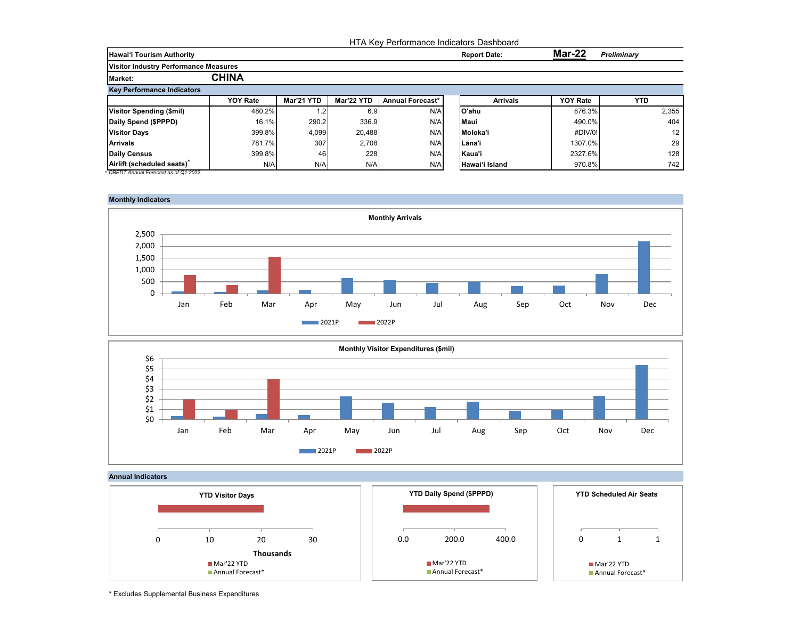|                                              |                 |            |            | HTA Key Performance Indicators Dashboard |                     |                 |                 |
|----------------------------------------------|-----------------|------------|------------|------------------------------------------|---------------------|-----------------|-----------------|
| <b>Hawai'i Tourism Authority</b>             |                 |            |            |                                          | <b>Report Date:</b> | <b>Mar-22</b>   | Preliminary     |
| <b>Visitor Industry Performance Measures</b> |                 |            |            |                                          |                     |                 |                 |
| <b>Market:</b>                               | <b>CHINA</b>    |            |            |                                          |                     |                 |                 |
| <b>Key Performance Indicators</b>            |                 |            |            |                                          |                     |                 |                 |
|                                              | <b>YOY Rate</b> | Mar'21 YTD | Mar'22 YTD | Annual Forecast*                         | <b>Arrivals</b>     | <b>YOY Rate</b> | <b>YTD</b>      |
| <b>Visitor Spending (\$mil)</b>              | 480.2%          | $\cdot$ 2  | 6.9        | N/A                                      | lO'ahu              | 876.3%          | 2,355           |
| Daily Spend (\$PPPD)                         | 16.1%           | 290.2      | 336.9      | N/A                                      | <b>Maui</b>         | 490.0%          | 404             |
| <b>Visitor Days</b>                          | 399.8%          | 4,099      | 20.488     | N/A                                      | Moloka'i            | #DIV/0!         | 12 <sup>°</sup> |
| <b>Arrivals</b>                              | 781.7%          | 307        | 2,708      | N/A                                      | lLāna'i             | 1307.0%         | 29              |
| <b>Daily Census</b>                          | 399.8%          | 46         | 228        | N/A                                      | Kaua'i              | 2327.6%         | 128             |
| Airlift (scheduled seats)                    | N/A             | N/A        | N/A        | N/A                                      | Hawai'i Island      | 970.8%          | 742             |







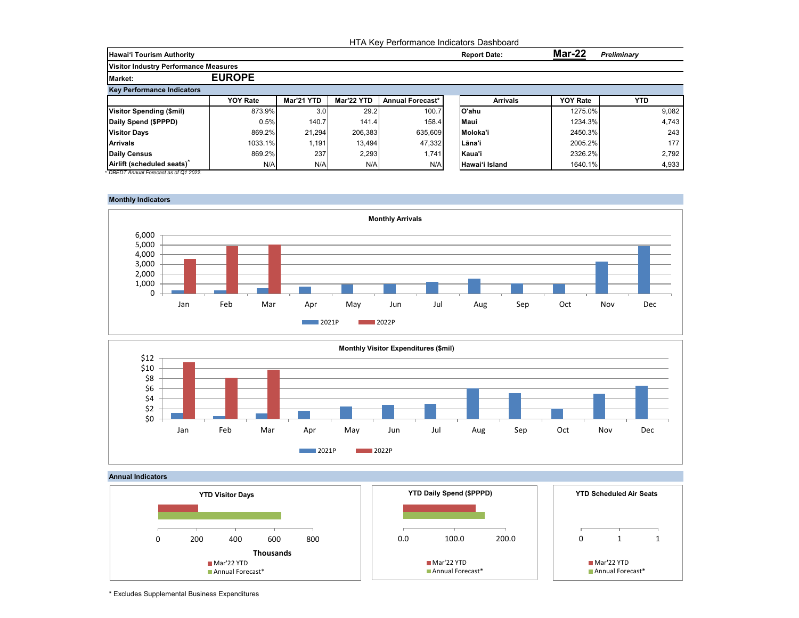|                                              |                 |                  |            | HTA Key Performance Indicators Dashboard |                     |                 |                 |                    |
|----------------------------------------------|-----------------|------------------|------------|------------------------------------------|---------------------|-----------------|-----------------|--------------------|
| <b>Hawai'i Tourism Authority</b>             |                 |                  |            |                                          | <b>Report Date:</b> |                 | <b>Mar-22</b>   | <b>Preliminary</b> |
| <b>Visitor Industry Performance Measures</b> |                 |                  |            |                                          |                     |                 |                 |                    |
| <b>Market:</b>                               | <b>EUROPE</b>   |                  |            |                                          |                     |                 |                 |                    |
| <b>Key Performance Indicators</b>            |                 |                  |            |                                          |                     |                 |                 |                    |
|                                              | <b>YOY Rate</b> | Mar'21 YTD       | Mar'22 YTD | <b>Annual Forecast*</b>                  |                     | <b>Arrivals</b> | <b>YOY Rate</b> | YTD.               |
| <b>Visitor Spending (\$mil)</b>              | 873.9%          | 3.0 <sub>l</sub> | 29.2       | 100.7                                    | lO'ahu              |                 | 1275.0%         | 9,082              |
| Daily Spend (\$PPPD)                         | 0.5%            | 140.7            | 141.4      | 158.4                                    | <b>Maui</b>         |                 | 1234.3%         | 4,743              |
| <b>Visitor Days</b>                          | 869.2%          | 21,294           | 206,383    | 635,609                                  | Moloka'i            |                 | 2450.3%         | 243                |
| <b>Arrivals</b>                              | 1033.1%         | .191             | 13.494     | 47,332                                   | l Lāna'i            |                 | 2005.2%         | 177                |
| Daily Census                                 | 869.2%          | 237              | 2,293      | 1,741                                    | Kaua'i              |                 | 2326.2%         | 2,792              |
| Airlift (scheduled seats)                    | N/A             | N/A              | N/A        | N/A                                      | Hawai'i Island      |                 | 1640.1%         | 4,933              |